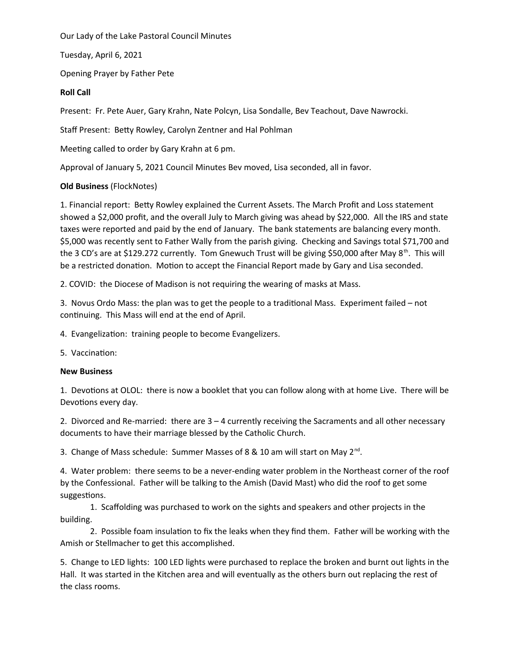Our Lady of the Lake Pastoral Council Minutes

Tuesday, April 6, 2021

Opening Prayer by Father Pete

# **Roll Call**

Present: Fr. Pete Auer, Gary Krahn, Nate Polcyn, Lisa Sondalle, Bev Teachout, Dave Nawrocki.

Staff Present: Betty Rowley, Carolyn Zentner and Hal Pohlman

Meeting called to order by Gary Krahn at 6 pm.

Approval of January 5, 2021 Council Minutes Bev moved, Lisa seconded, all in favor.

# **Old Business** (FlockNotes)

1. Financial report: Betty Rowley explained the Current Assets. The March Profit and Loss statement showed a \$2,000 profit, and the overall July to March giving was ahead by \$22,000. All the IRS and state taxes were reported and paid by the end of January. The bank statements are balancing every month. \$5,000 was recently sent to Father Wally from the parish giving. Checking and Savings total \$71,700 and the 3 CD's are at \$129.272 currently. Tom Gnewuch Trust will be giving \$50,000 after May 8<sup>th</sup>. This will be a restricted donation. Motion to accept the Financial Report made by Gary and Lisa seconded.

2. COVID: the Diocese of Madison is not requiring the wearing of masks at Mass.

3. Novus Ordo Mass: the plan was to get the people to a traditional Mass. Experiment failed – not continuing. This Mass will end at the end of April.

4. Evangelization: training people to become Evangelizers.

5. Vaccination:

### **New Business**

1. Devotions at OLOL: there is now a booklet that you can follow along with at home Live. There will be Devotions every day.

2. Divorced and Re-married: there are 3 – 4 currently receiving the Sacraments and all other necessary documents to have their marriage blessed by the Catholic Church.

3. Change of Mass schedule: Summer Masses of 8 & 10 am will start on May 2<sup>nd</sup>.

4. Water problem: there seems to be a never-ending water problem in the Northeast corner of the roof by the Confessional. Father will be talking to the Amish (David Mast) who did the roof to get some suggestions.

1. Scaffolding was purchased to work on the sights and speakers and other projects in the building.

2. Possible foam insulation to fix the leaks when they find them. Father will be working with the Amish or Stellmacher to get this accomplished.

5. Change to LED lights: 100 LED lights were purchased to replace the broken and burnt out lights in the Hall. It was started in the Kitchen area and will eventually as the others burn out replacing the rest of the class rooms.